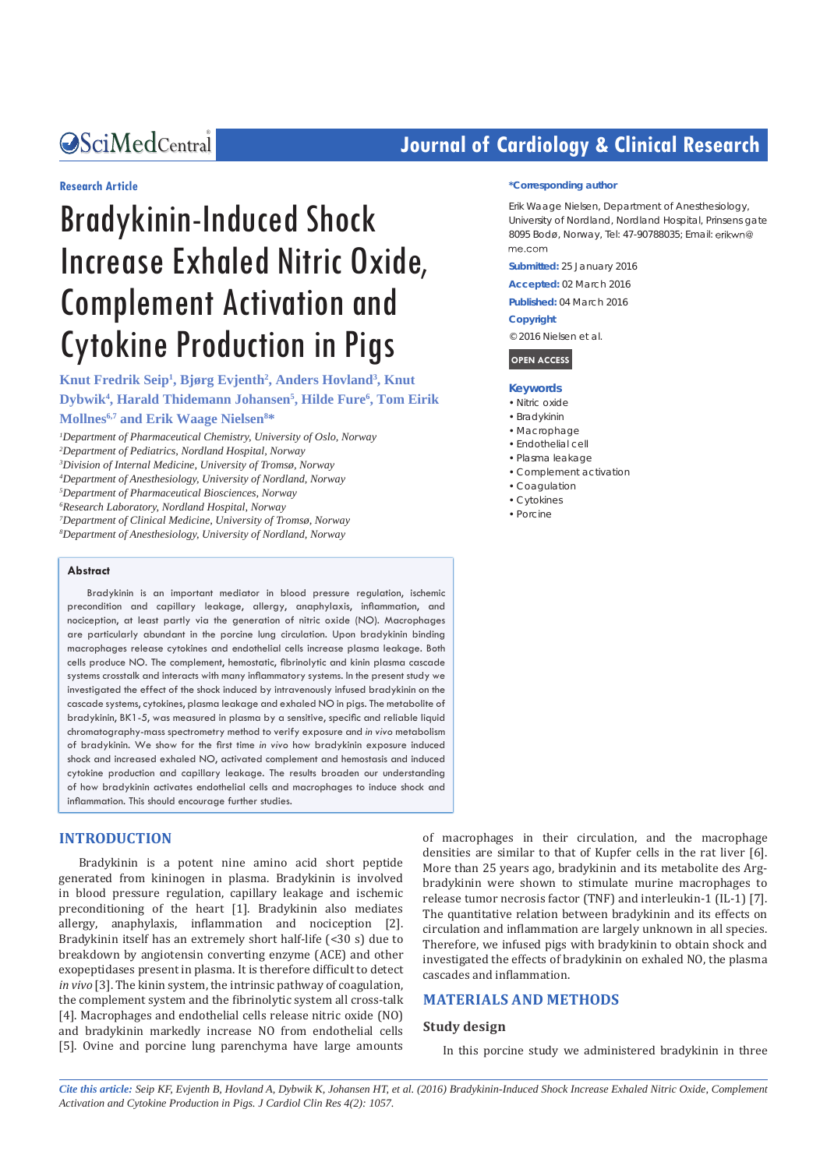*Bringing Excellence in Open Access*

#### **Research Article**

# Bradykinin-Induced Shock Increase Exhaled Nitric Oxide, Complement Activation and Cytokine Production in Pigs

**Knut Fredrik Seip1 , Bjørg Evjenth2 , Anders Hovland3 , Knut Dybwik4 , Harald Thidemann Johansen5 , Hilde Fure6 , Tom Eirik Mollnes6,7 and Erik Waage Nielsen8 \***

 *Department of Pharmaceutical Chemistry, University of Oslo, Norway Department of Pediatrics, Nordland Hospital, Norway Division of Internal Medicine, University of Tromsø, Norway Department of Anesthesiology, University of Nordland, Norway Department of Pharmaceutical Biosciences, Norway Research Laboratory, Nordland Hospital, Norway Department of Clinical Medicine, University of Tromsø, Norway Department of Anesthesiology, University of Nordland, Norway*

#### **Abstract**

Bradykinin is an important mediator in blood pressure regulation, ischemic precondition and capillary leakage, allergy, anaphylaxis, inflammation, and nociception, at least partly via the generation of nitric oxide (NO). Macrophages are particularly abundant in the porcine lung circulation. Upon bradykinin binding macrophages release cytokines and endothelial cells increase plasma leakage. Both cells produce NO. The complement, hemostatic, fibrinolytic and kinin plasma cascade systems crosstalk and interacts with many inflammatory systems. In the present study we investigated the effect of the shock induced by intravenously infused bradykinin on the cascade systems, cytokines, plasma leakage and exhaled NO in pigs. The metabolite of bradykinin, BK1-5, was measured in plasma by a sensitive, specific and reliable liquid chromatography-mass spectrometry method to verify exposure and *in vivo* metabolism of bradykinin. We show for the first time *in vivo* how bradykinin exposure induced shock and increased exhaled NO, activated complement and hemostasis and induced cytokine production and capillary leakage. The results broaden our understanding of how bradykinin activates endothelial cells and macrophages to induce shock and inflammation. This should encourage further studies.

#### **INTRODUCTION**

Bradykinin is a potent nine amino acid short peptide generated from kininogen in plasma. Bradykinin is involved in blood pressure regulation, capillary leakage and ischemic preconditioning of the heart [1]. Bradykinin also mediates allergy, anaphylaxis, inflammation and nociception [2]. Bradykinin itself has an extremely short half-life (<30 s) due to breakdown by angiotensin converting enzyme (ACE) and other exopeptidases present in plasma. It is therefore difficult to detect *in vivo* [3]. The kinin system, the intrinsic pathway of coagulation, the complement system and the fibrinolytic system all cross-talk [4]. Macrophages and endothelial cells release nitric oxide (NO) and bradykinin markedly increase NO from endothelial cells [5]. Ovine and porcine lung parenchyma have large amounts

# **Journal of Cardiology & Clinical Research**

#### **\*Corresponding author**

Erik Waage Nielsen, Department of Anesthesiology, University of Nordland, Nordland Hospital, Prinsens gate 8095 Bodø, Norway, Tel: 47-90788035; Email: me.com

**Submitted:** 25 January 2016

**Accepted:** 02 March 2016

**Published:** 04 March 2016

#### **Copyright**

© 2016 Nielsen et al.

**OPEN ACCESS**

#### **Keywords**

- • Nitric oxide
- • Bradykinin
- • Macrophage
- • Endothelial cell
- • Plasma leakage
- • Complement activation
- • Coagulation
- • Cytokines
- • Porcine

of macrophages in their circulation, and the macrophage densities are similar to that of Kupfer cells in the rat liver [6]. More than 25 years ago, bradykinin and its metabolite des Argbradykinin were shown to stimulate murine macrophages to release tumor necrosis factor (TNF) and interleukin-1 (IL-1) [7]. The quantitative relation between bradykinin and its effects on circulation and inflammation are largely unknown in all species. Therefore, we infused pigs with bradykinin to obtain shock and investigated the effects of bradykinin on exhaled NO, the plasma cascades and inflammation.

### **MATERIALS AND METHODS**

#### **Study design**

In this porcine study we administered bradykinin in three

*Cite this article: Seip KF, Evjenth B, Hovland A, Dybwik K, Johansen HT, et al. (2016) Bradykinin-Induced Shock Increase Exhaled Nitric Oxide, Complement Activation and Cytokine Production in Pigs. J Cardiol Clin Res 4(2): 1057.*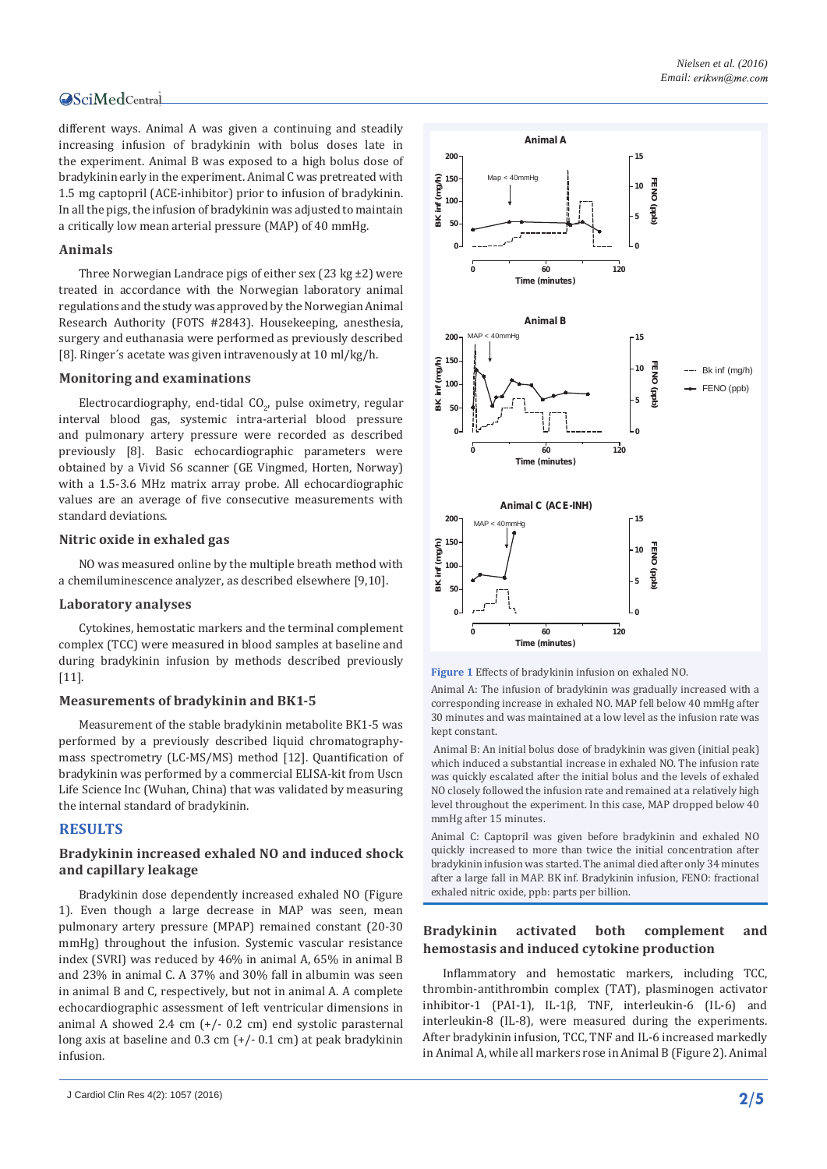different ways. Animal A was given a continuing and steadily increasing infusion of bradykinin with bolus doses late in the experiment. Animal B was exposed to a high bolus dose of bradykinin early in the experiment. Animal C was pretreated with 1.5 mg captopril (ACE-inhibitor) prior to infusion of bradykinin. In all the pigs, the infusion of bradykinin was adjusted to maintain a critically low mean arterial pressure (MAP) of 40 mmHg.

# **Animals**

Three Norwegian Landrace pigs of either sex (23 kg ±2) were treated in accordance with the Norwegian laboratory animal regulations and the study was approved by the Norwegian Animal Research Authority (FOTS #2843). Housekeeping, anesthesia, surgery and euthanasia were performed as previously described [8]. Ringer´s acetate was given intravenously at 10 ml/kg/h.

#### **Monitoring and examinations**

Electrocardiography, end-tidal CO $_2$ , pulse oximetry, regular interval blood gas, systemic intra-arterial blood pressure and pulmonary artery pressure were recorded as described previously [8]. Basic echocardiographic parameters were obtained by a Vivid S6 scanner (GE Vingmed, Horten, Norway) with a 1.5-3.6 MHz matrix array probe. All echocardiographic values are an average of five consecutive measurements with standard deviations.

# **Nitric oxide in exhaled gas**

NO was measured online by the multiple breath method with a chemiluminescence analyzer, as described elsewhere [9,10].

#### **Laboratory analyses**

Cytokines, hemostatic markers and the terminal complement complex (TCC) were measured in blood samples at baseline and during bradykinin infusion by methods described previously [11].

#### **Measurements of bradykinin and BK1-5**

Measurement of the stable bradykinin metabolite BK1-5 was performed by a previously described liquid chromatographymass spectrometry (LC-MS/MS) method [12]. Quantification of bradykinin was performed by a commercial ELISA-kit from Uscn Life Science Inc (Wuhan, China) that was validated by measuring the internal standard of bradykinin.

# **RESULTS**

# **Bradykinin increased exhaled NO and induced shock and capillary leakage**

Bradykinin dose dependently increased exhaled NO (Figure 1). Even though a large decrease in MAP was seen, mean pulmonary artery pressure (MPAP) remained constant (20-30 mmHg) throughout the infusion. Systemic vascular resistance index (SVRI) was reduced by 46% in animal A, 65% in animal B and 23% in animal C. A 37% and 30% fall in albumin was seen in animal B and C, respectively, but not in animal A. A complete echocardiographic assessment of left ventricular dimensions in animal A showed 2.4 cm  $(+/- 0.2$  cm) end systolic parasternal long axis at baseline and 0.3 cm (+/- 0.1 cm) at peak bradykinin infusion.



**Figure 1** Effects of bradykinin infusion on exhaled NO.

Animal A: The infusion of bradykinin was gradually increased with a corresponding increase in exhaled NO. MAP fell below 40 mmHg after 30 minutes and was maintained at a low level as the infusion rate was kept constant.

 Animal B: An initial bolus dose of bradykinin was given (initial peak) which induced a substantial increase in exhaled NO. The infusion rate was quickly escalated after the initial bolus and the levels of exhaled NO closely followed the infusion rate and remained at a relatively high level throughout the experiment. In this case, MAP dropped below 40 mmHg after 15 minutes.

Animal C: Captopril was given before bradykinin and exhaled NO quickly increased to more than twice the initial concentration after bradykinin infusion was started. The animal died after only 34 minutes after a large fall in MAP. BK inf. Bradykinin infusion, FENO: fractional exhaled nitric oxide, ppb: parts per billion.

# **Bradykinin activated both complement and hemostasis and induced cytokine production**

Inflammatory and hemostatic markers, including TCC, thrombin-antithrombin complex (TAT), plasminogen activator inhibitor-1 (PAI-1), IL-1β, TNF, interleukin-6 (IL-6) and interleukin-8 (IL-8), were measured during the experiments. After bradykinin infusion, TCC, TNF and IL-6 increased markedly in Animal A, while all markers rose in Animal B (Figure 2). Animal

**<sup>2/5</sup>** J Cardiol Clin Res 4(2): 1057 (2016)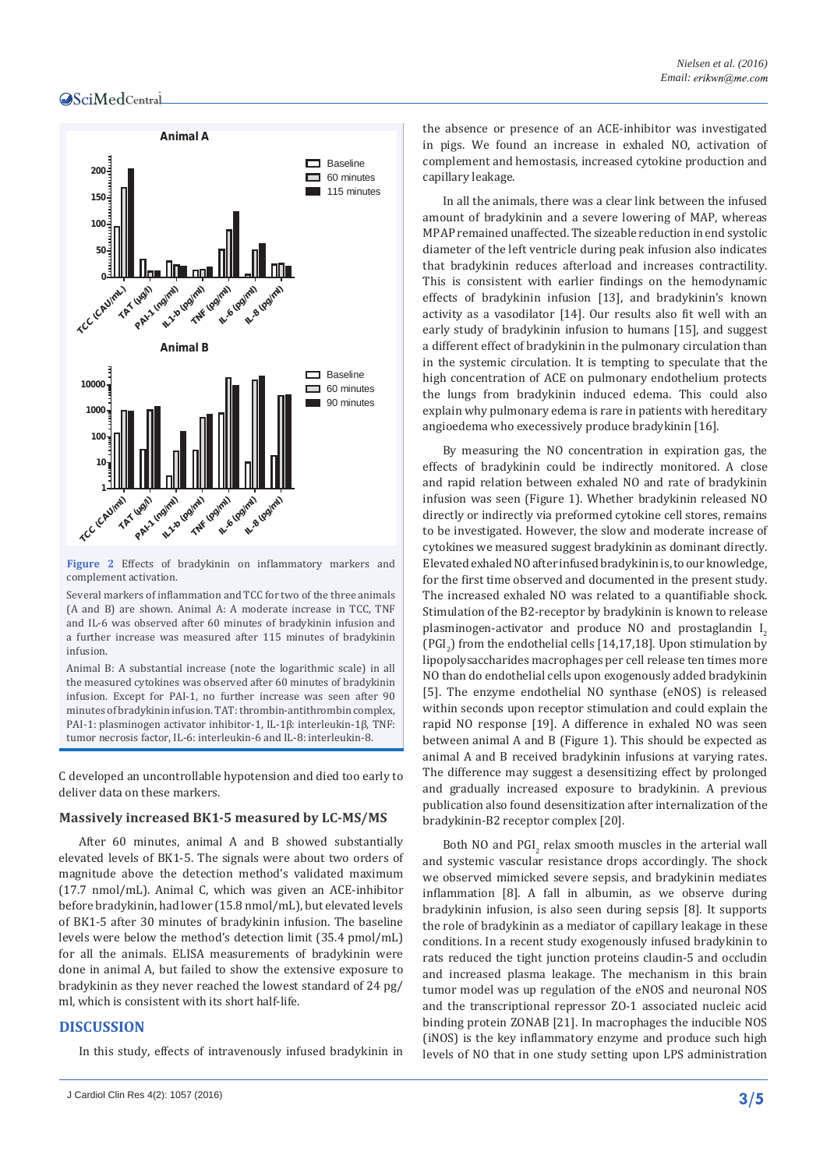

**Figure 2** Effects of bradykinin on inflammatory markers and complement activation.

Several markers of inflammation and TCC for two of the three animals (A and B) are shown. Animal A: A moderate increase in TCC, TNF and IL-6 was observed after 60 minutes of bradykinin infusion and a further increase was measured after 115 minutes of bradykinin infusion.

Animal B: A substantial increase (note the logarithmic scale) in all the measured cytokines was observed after 60 minutes of bradykinin infusion. Except for PAI-1, no further increase was seen after 90 minutes of bradykinin infusion. TAT: thrombin-antithrombin complex, PAI-1: plasminogen activator inhibitor-1, IL-1β: interleukin-1β, TNF: tumor necrosis factor, IL-6: interleukin-6 and IL-8: interleukin-8.

C developed an uncontrollable hypotension and died too early to deliver data on these markers.

#### **Massively increased BK1-5 measured by LC-MS/MS**

After 60 minutes, animal A and B showed substantially elevated levels of BK1-5. The signals were about two orders of magnitude above the detection method's validated maximum (17.7 nmol/mL). Animal C, which was given an ACE-inhibitor before bradykinin, had lower (15.8 nmol/mL), but elevated levels of BK1-5 after 30 minutes of bradykinin infusion. The baseline levels were below the method's detection limit (35.4 pmol/mL) for all the animals. ELISA measurements of bradykinin were done in animal A, but failed to show the extensive exposure to bradykinin as they never reached the lowest standard of 24 pg/ ml, which is consistent with its short half-life.

# **DISCUSSION**

In this study, effects of intravenously infused bradykinin in

the absence or presence of an ACE-inhibitor was investigated in pigs. We found an increase in exhaled NO, activation of complement and hemostasis, increased cytokine production and capillary leakage.

In all the animals, there was a clear link between the infused amount of bradykinin and a severe lowering of MAP, whereas MPAP remained unaffected. The sizeable reduction in end systolic diameter of the left ventricle during peak infusion also indicates that bradykinin reduces afterload and increases contractility. This is consistent with earlier findings on the hemodynamic effects of bradykinin infusion [13], and bradykinin's known activity as a vasodilator [14]. Our results also fit well with an early study of bradykinin infusion to humans [15], and suggest a different effect of bradykinin in the pulmonary circulation than in the systemic circulation. It is tempting to speculate that the high concentration of ACE on pulmonary endothelium protects the lungs from bradykinin induced edema. This could also explain why pulmonary edema is rare in patients with hereditary angioedema who execessively produce bradykinin [16].

By measuring the NO concentration in expiration gas, the effects of bradykinin could be indirectly monitored. A close and rapid relation between exhaled NO and rate of bradykinin infusion was seen (Figure 1). Whether bradykinin released NO directly or indirectly via preformed cytokine cell stores, remains to be investigated. However, the slow and moderate increase of cytokines we measured suggest bradykinin as dominant directly. Elevated exhaled NO after infused bradykinin is, to our knowledge, for the first time observed and documented in the present study. The increased exhaled NO was related to a quantifiable shock. Stimulation of the B2-receptor by bradykinin is known to release plasminogen-activator and produce NO and prostaglandin I<sub>2</sub>  $(PGI<sub>2</sub>)$  from the endothelial cells  $[14,17,18]$ . Upon stimulation by lipopolysaccharides macrophages per cell release ten times more NO than do endothelial cells upon exogenously added bradykinin [5]. The enzyme endothelial NO synthase (eNOS) is released within seconds upon receptor stimulation and could explain the rapid NO response [19]. A difference in exhaled NO was seen between animal A and B (Figure 1). This should be expected as animal A and B received bradykinin infusions at varying rates. The difference may suggest a desensitizing effect by prolonged and gradually increased exposure to bradykinin. A previous publication also found desensitization after internalization of the bradykinin-B2 receptor complex [20].

Both NO and  $PGI_2$  relax smooth muscles in the arterial wall and systemic vascular resistance drops accordingly. The shock we observed mimicked severe sepsis, and bradykinin mediates inflammation [8]. A fall in albumin, as we observe during bradykinin infusion, is also seen during sepsis [8]. It supports the role of bradykinin as a mediator of capillary leakage in these conditions. In a recent study exogenously infused bradykinin to rats reduced the tight junction proteins claudin-5 and occludin and increased plasma leakage. The mechanism in this brain tumor model was up regulation of the eNOS and neuronal NOS and the transcriptional repressor ZO-1 associated nucleic acid binding protein ZONAB [21]. In macrophages the inducible NOS (iNOS) is the key inflammatory enzyme and produce such high levels of NO that in one study setting upon LPS administration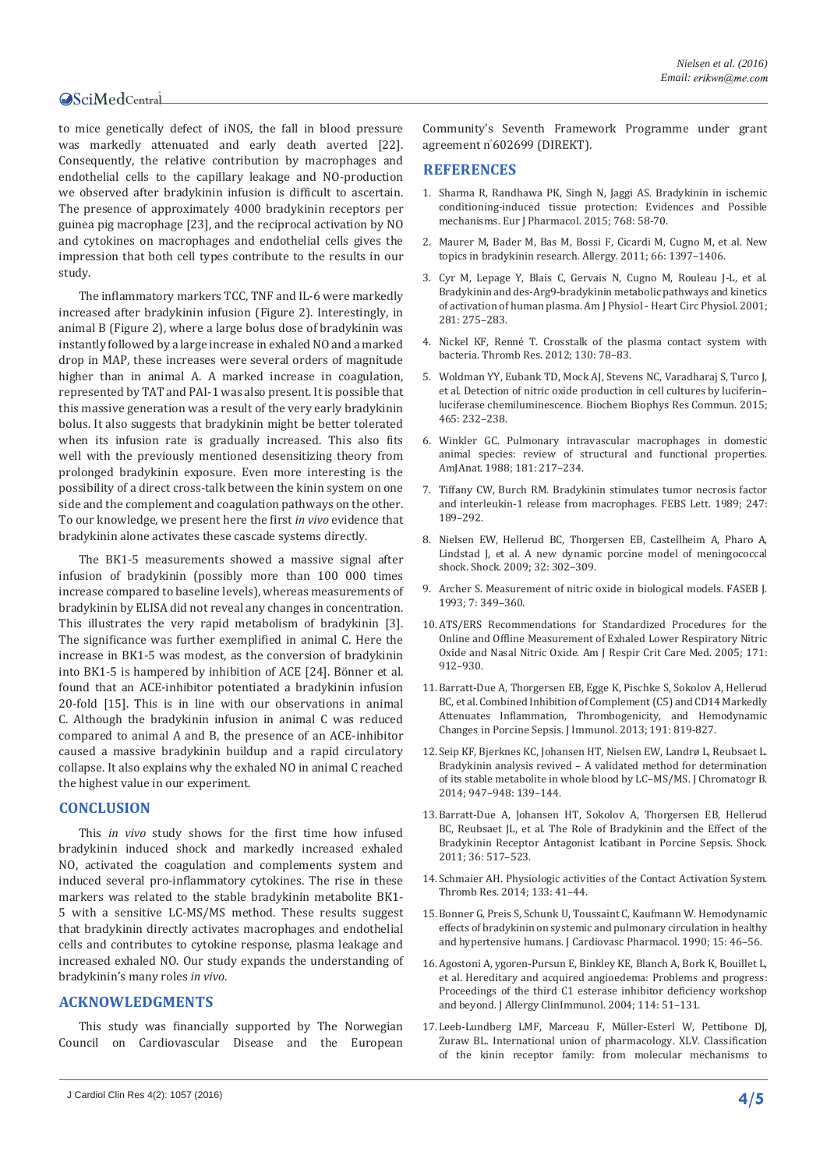to mice genetically defect of iNOS, the fall in blood pressure was markedly attenuated and early death averted [22]. Consequently, the relative contribution by macrophages and endothelial cells to the capillary leakage and NO-production we observed after bradykinin infusion is difficult to ascertain. The presence of approximately 4000 bradykinin receptors per guinea pig macrophage [23], and the reciprocal activation by NO and cytokines on macrophages and endothelial cells gives the impression that both cell types contribute to the results in our study.

The inflammatory markers TCC, TNF and IL-6 were markedly increased after bradykinin infusion (Figure 2). Interestingly, in animal B (Figure 2), where a large bolus dose of bradykinin was instantly followed by a large increase in exhaled NO and a marked drop in MAP, these increases were several orders of magnitude higher than in animal A. A marked increase in coagulation, represented by TAT and PAI-1 was also present. It is possible that this massive generation was a result of the very early bradykinin bolus. It also suggests that bradykinin might be better tolerated when its infusion rate is gradually increased. This also fits well with the previously mentioned desensitizing theory from prolonged bradykinin exposure. Even more interesting is the possibility of a direct cross-talk between the kinin system on one side and the complement and coagulation pathways on the other. To our knowledge, we present here the first *in vivo* evidence that bradykinin alone activates these cascade systems directly.

The BK1-5 measurements showed a massive signal after infusion of bradykinin (possibly more than 100 000 times increase compared to baseline levels), whereas measurements of bradykinin by ELISA did not reveal any changes in concentration. This illustrates the very rapid metabolism of bradykinin [3]. The significance was further exemplified in animal C. Here the increase in BK1-5 was modest, as the conversion of bradykinin into BK1-5 is hampered by inhibition of ACE [24]. Bönner et al. found that an ACE-inhibitor potentiated a bradykinin infusion 20-fold [15]. This is in line with our observations in animal C. Although the bradykinin infusion in animal C was reduced compared to animal A and B, the presence of an ACE-inhibitor caused a massive bradykinin buildup and a rapid circulatory collapse. It also explains why the exhaled NO in animal C reached the highest value in our experiment.

#### **CONCLUSION**

This *in vivo* study shows for the first time how infused bradykinin induced shock and markedly increased exhaled NO, activated the coagulation and complements system and induced several pro-inflammatory cytokines. The rise in these markers was related to the stable bradykinin metabolite BK1- 5 with a sensitive LC-MS/MS method. These results suggest that bradykinin directly activates macrophages and endothelial cells and contributes to cytokine response, plasma leakage and increased exhaled NO. Our study expands the understanding of bradykinin's many roles *in vivo*.

#### **ACKNOWLEDGMENTS**

This study was financially supported by The Norwegian Council on Cardiovascular Disease and the European Community's Seventh Framework Programme under grant agreement n° 602699 (DIREKT).

#### **REFERENCES**

- 1. [Sharma R, Randhawa PK, Singh N, Jaggi AS. Bradykinin in ischemic](http://www.ncbi.nlm.nih.gov/pubmed/26499976)  [conditioning-induced tissue protection: Evidences and Possible](http://www.ncbi.nlm.nih.gov/pubmed/26499976)  [mechanisms. Eur J Pharmacol. 2015; 768: 58-70.](http://www.ncbi.nlm.nih.gov/pubmed/26499976)
- 2. [Maurer M, Bader M, Bas M, Bossi F, Cicardi M, Cugno M, et al. New](http://www.ncbi.nlm.nih.gov/pubmed/21859431)  [topics in bradykinin research. Allergy. 2011; 66: 1397–1406.](http://www.ncbi.nlm.nih.gov/pubmed/21859431)
- 3. [Cyr M, Lepage Y, Blais C, Gervais N, Cugno M, Rouleau J-L, et al.](http://www.ncbi.nlm.nih.gov/pubmed/11406494)  [Bradykinin and des-Arg9-bradykinin metabolic pathways and kinetics](http://www.ncbi.nlm.nih.gov/pubmed/11406494)  [of activation of human plasma. Am J Physiol - Heart Circ Physiol. 2001;](http://www.ncbi.nlm.nih.gov/pubmed/11406494)  [281: 275–283.](http://www.ncbi.nlm.nih.gov/pubmed/11406494)
- 4. [Nickel KF, Renné T. Crosstalk of the plasma contact system with](http://www.ncbi.nlm.nih.gov/pubmed/23026673)  [bacteria. Thromb Res. 2012; 130: 78–83.](http://www.ncbi.nlm.nih.gov/pubmed/23026673)
- 5. [Woldman YY, Eubank TD, Mock AJ, Stevens NC, Varadharaj S, Turco J,](http://www.ncbi.nlm.nih.gov/pubmed/26253471)  [et al. Detection of nitric oxide production in cell cultures by luciferin–](http://www.ncbi.nlm.nih.gov/pubmed/26253471) [luciferase chemiluminescence. Biochem Biophys Res Commun. 2015;](http://www.ncbi.nlm.nih.gov/pubmed/26253471)  [465: 232–238.](http://www.ncbi.nlm.nih.gov/pubmed/26253471)
- 6. [Winkler GC. Pulmonary intravascular macrophages in domestic](http://www.ncbi.nlm.nih.gov/pubmed/3284325)  [animal species: review of structural and functional properties.](http://www.ncbi.nlm.nih.gov/pubmed/3284325)  [AmJAnat. 1988; 181: 217–234.](http://www.ncbi.nlm.nih.gov/pubmed/3284325)
- 7. [Tiffany CW, Burch RM. Bradykinin stimulates tumor necrosis factor](http://www.ncbi.nlm.nih.gov/pubmed/2541011)  [and interleukin-1 release from macrophages. FEBS Lett. 1989; 247:](http://www.ncbi.nlm.nih.gov/pubmed/2541011)  [189–292.](http://www.ncbi.nlm.nih.gov/pubmed/2541011)
- 8. [Nielsen EW, Hellerud BC, Thorgersen EB, Castellheim A, Pharo A,](http://www.ncbi.nlm.nih.gov/pubmed/19174740)  [Lindstad J, et al. A new dynamic porcine model of meningococcal](http://www.ncbi.nlm.nih.gov/pubmed/19174740)  [shock. Shock. 2009; 32: 302–309.](http://www.ncbi.nlm.nih.gov/pubmed/19174740)
- 9. [Archer S. Measurement of nitric oxide in biological models. FASEB J.](http://www.ncbi.nlm.nih.gov/pubmed/8440411)  [1993; 7: 349–360.](http://www.ncbi.nlm.nih.gov/pubmed/8440411)
- 10.[ATS/ERS Recommendations for Standardized Procedures for the](http://www.ncbi.nlm.nih.gov/pubmed/15817806)  [Online and Offline Measurement of Exhaled Lower Respiratory Nitric](http://www.ncbi.nlm.nih.gov/pubmed/15817806)  [Oxide and Nasal Nitric Oxide. Am J Respir Crit Care Med. 2005; 171:](http://www.ncbi.nlm.nih.gov/pubmed/15817806)  [912–930.](http://www.ncbi.nlm.nih.gov/pubmed/15817806)
- 11.[Barratt-Due A, Thorgersen EB, Egge K, Pischke S, Sokolov A, Hellerud](http://www.ncbi.nlm.nih.gov/pubmed/23761634)  [BC, et al. Combined Inhibition of Complement \(C5\) and CD14 Markedly](http://www.ncbi.nlm.nih.gov/pubmed/23761634)  [Attenuates Inflammation, Thrombogenicity, and Hemodynamic](http://www.ncbi.nlm.nih.gov/pubmed/23761634)  [Changes in Porcine Sepsis. J Immunol. 2013; 191: 819-827.](http://www.ncbi.nlm.nih.gov/pubmed/23761634)
- 12.[Seip KF, Bjerknes KC, Johansen HT, Nielsen EW, Landrø L, Reubsaet L.](http://www.sciencedirect.com/science/article/pii/S1570023213007228)  [Bradykinin analysis revived – A validated method for determination](http://www.sciencedirect.com/science/article/pii/S1570023213007228)  [of its stable metabolite in whole blood by LC–MS/MS. J Chromatogr B.](http://www.sciencedirect.com/science/article/pii/S1570023213007228)  [2014; 947–948: 139–144.](http://www.sciencedirect.com/science/article/pii/S1570023213007228)
- 13.[Barratt-Due A, Johansen HT, Sokolov A, Thorgersen EB, Hellerud](http://www.ncbi.nlm.nih.gov/pubmed/21921836)  [BC, Reubsaet JL, et al. The Role of Bradykinin and the Effect of the](http://www.ncbi.nlm.nih.gov/pubmed/21921836)  [Bradykinin Receptor Antagonist Icatibant in Porcine Sepsis. Shock.](http://www.ncbi.nlm.nih.gov/pubmed/21921836)  [2011; 36: 517–523.](http://www.ncbi.nlm.nih.gov/pubmed/21921836)
- 14.[Schmaier AH. Physiologic activities of the Contact Activation System.](http://www.ncbi.nlm.nih.gov/pubmed/24759141)  [Thromb Res. 2014; 133: 41–44.](http://www.ncbi.nlm.nih.gov/pubmed/24759141)
- 15.[Bonner G, Preis S, Schunk U, Toussaint C, Kaufmann W. Hemodynamic](http://www.ncbi.nlm.nih.gov/pubmed/1697361)  [effects of bradykinin on systemic and pulmonary circulation in healthy](http://www.ncbi.nlm.nih.gov/pubmed/1697361)  [and hypertensive humans. J Cardiovasc Pharmacol](http://www.ncbi.nlm.nih.gov/pubmed/1697361). 1990; 15: 46–56.
- 16.[Agostoni A, ygoren-Pursun E, Binkley KE, Blanch A, Bork K, Bouillet L,](http://www.ncbi.nlm.nih.gov/pubmed/15356535)  [et al. Hereditary and acquired angioedema: Problems and progress:](http://www.ncbi.nlm.nih.gov/pubmed/15356535)  [Proceedings of the third C1 esterase inhibitor deficiency workshop](http://www.ncbi.nlm.nih.gov/pubmed/15356535)  [and beyond. J Allergy ClinImmunol. 2004; 114: 51–131.](http://www.ncbi.nlm.nih.gov/pubmed/15356535)
- 17.[Leeb-Lundberg LMF, Marceau F, Müller-Esterl W, Pettibone DJ,](http://www.ncbi.nlm.nih.gov/pubmed/15734727)  [Zuraw BL. International union of pharmacology. XLV. Classification](http://www.ncbi.nlm.nih.gov/pubmed/15734727)  [of the kinin receptor family: from molecular mechanisms to](http://www.ncbi.nlm.nih.gov/pubmed/15734727)